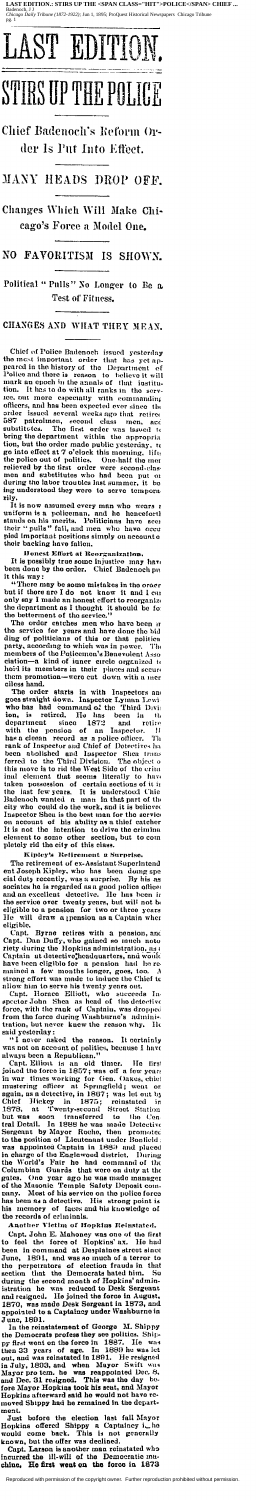LAST EDITION.: STIRS UP THE <SPAN CLASS="HIT">POLICE</SPAN> CHIEF ... noch, J J<br>1g*o Daily Tribune (1872-1922); J*un 1, 1895; ProQuest Historical N o Tribi



Chief Badenoch's Reform Order Is Put Into Effect.

# MANY HEADS DROP OFF.

Changes Which Will Make Chicago's Force a Model One.

NO FAVORITISM IS SHOWN.

Political "Pulls" No Longer to Be a Test of Fitness.

CHANGES AND WHAT THEY MEAN.

Chief of Police Badenoch issued yesterday<br>the most important order that has yet ap-<br>peared in the history of the Department of<br>Police and there is reason to believe it will<br>nuark an epoch in the armsh of that institution.<br> officers, and has been expected ever since the<br>order issued several weeks ago that retired<br>587 patroluen, second class men, and<br>osubstitutes. The first order was issued it<br>bring the department within the appropriation, bu

rily.<br>It is now assumed every man who wears in the state of the same of the stands on his merits. Politicians have accurated the stands on his merits. Politicians have occupied important positions simply on account of thei

Honest Effort at Reorganization. It is possibly true some injustice may have have

It is possessed on the state of the method is the interesting in this way:<br>
it this way:<br>
it this way:<br>
if the are I do not know it and I can<br>
but if there are I do not know it and I can<br>
only say I made an honest effort

them promotion—were cut down with a mer<br>ciles hand.<br>The order starts in with Inspectors and<br>goes straight down. Inspector Lyman Lewi<br>who has had command of the Third Divis<br>ion, is retired. He has been in this<br>department si

Kipley's Retirement a Surprise. The retirement of ex-Assistant Superintend and Joseph Kipley, who has been doing special duty recently, was a surprise. By his as<br>sociates he is regarded as a good police offices<br>and an excellent detective. He has been in and an excellent detective. He has been incentive and an excellent detective. He has been in<br>the service over twenty years, but will not beligible to a pension for two or three years will  $\overline{He}$ draw a pension as a Captain when eligible, capt. Byrne retires with a peasion, and<br>Capt. Dan Duffy, who gained so much noto<br>riety during the Hopkins administration, as a<br>Captain at detective, headquarters, and would<br>have been eligible for a peasion had he rehave been englible for a pension had no re-<br>mained a few months longer, goes, too. A<br>strong effort was made to induce the Chief te<br>allow him to serve his twenty years out,<br>Capt. Horace Elliott, who succeeds Ination nin to serve his twenty years out.<br>Capt. Homeo-Elliott, who succeeds In-<br>spector John Shea as head of the detective<br>force, with the rank of Captain, was dropped<br>from the force during Washburne's adminis-<br>tration, but said yesterday:

the  $% \left( \mathcal{A},\mathcal{A}\right)$ οÏ asked It certainly never reason.

"I never asked the reason. It certainly<br>was not on account of politics, because I have<br>always been a Republican."<br>linet. Eliout is an old timer. He first<br>joined the force in 1857; was off a few years<br>in war times working sconored as appointed Captain in 1880 and placed in charge of the Englewood district. During the World's Fair he had command of the Columbian Guards that were on duty at the gates. One year ago he was made manager of the his memory of faces and his knowledge of<br>the records of criminals.<br>Another Victim of Hopkins Reinstated.

Capt, John E. Mahoney was one of the first<br>to feel the force of Hopkins' ax. He had<br>been in command at Desplaines street since<br>June, 1891, and was so much of a terror to nand at Despress.<br>
and was so much of a terror to<br>
cleartion frauds in that<br>
So June, 1891, and was assumed in the perpetrators of election frauds in the section that the Democrats hated him. So during the second month of Hopkins' administration of the was reduced to Desk Sergeant during the second month of riopkins unimident<br>istration he was reduced to Desk Sergeant<br>and resigned. He joined the force in August,<br>1870, was made Desk Sergeant in 1873, and<br>appointed to a Captaincy under Washburne in

June, 1891.<br>In the reinstatement of George<br>the Democrats profess they see po M. Shippy politic Shipthe Democrats protess they see politics. Ship-<br>py first went on the force in 1887. He was let<br>then 33 years of age. In 1889 he was let<br>out, and was reinstated in 1891. He resigned<br>in July, 1893, and when Mayor Switt was<br>Ma mo red Shippy had he remained in the department.

ofore the election<br>offered Shippy a<br>
offered Shippy a<br>
offered Shippy<br>  $\frac{1}{2}$ before election last fall N<br>hippy a Captaincy fall Mayor Just Hopkins j,

mould come back. This is not generally<br>known, but the offer was declined.<br>Capt. Larson is another man reinstated who<br>incurred the ill-will of the Democratic ma-<br>chine, He first went on the force in 1873